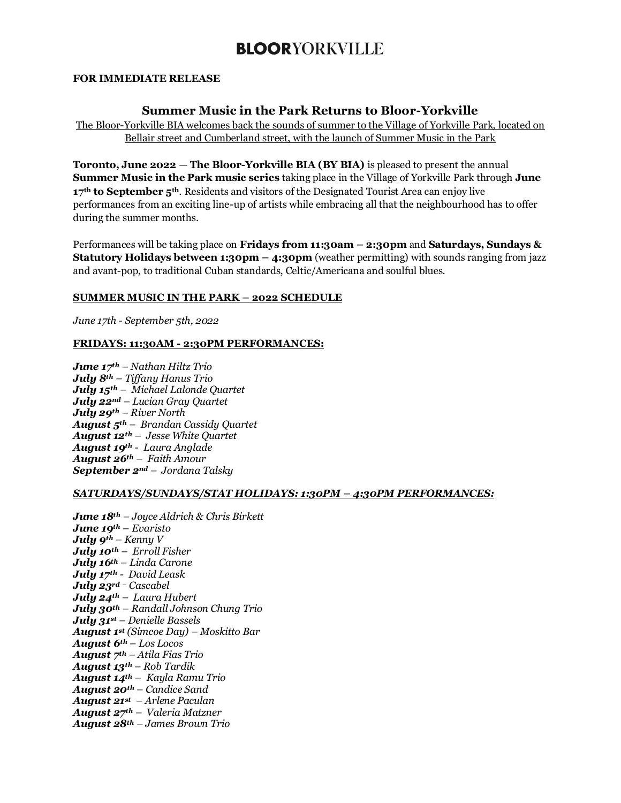## **BLOORYORKVILLE**

#### **FOR IMMEDIATE RELEASE**

### **Summer Music in the Park Returns to Bloor-Yorkville**

The Bloor-Yorkville BIA welcomes back the sounds of summer to the Village of Yorkville Park, located on Bellair street and Cumberland street, with the launch of Summer Music in the Park

**Toronto, June 2022** — **The Bloor-Yorkville BIA (BY BIA)** is pleased to present the annual **Summer Music in the Park music series** taking place in the Village of Yorkville Park through **June 17th to September 5th**. Residents and visitors of the Designated Tourist Area can enjoy live performances from an exciting line-up of artists while embracing all that the neighbourhood has to offer during the summer months.

Performances will be taking place on **Fridays from 11:30am – 2:30pm** and **Saturdays, Sundays & Statutory Holidays between 1:30pm – 4:30pm** (weather permitting) with sounds ranging from jazz and avant-pop, to traditional Cuban standards, Celtic/Americana and soulful blues.

### **SUMMER MUSIC IN THE PARK – 2022 SCHEDULE**

*June 17th - September 5th, 2022*

#### **FRIDAYS: 11:30AM - 2:30PM PERFORMANCES:**

*June 17th – Nathan Hiltz Trio July 8th – Tiffany Hanus Trio July 15th – Michael Lalonde Quartet July 22nd – Lucian Gray Quartet July 29th – River North August 5th – Brandan Cassidy Quartet August 12th – Jesse White Quartet August 19th - Laura Anglade August 26th – Faith Amour September 2nd – Jordana Talsky*

#### *SATURDAYS/SUNDAYS/STAT HOLIDAYS: 1:30PM – 4:30PM PERFORMANCES:*

*June 18th – Joyce Aldrich & Chris Birkett June 19th – Evaristo July 9th – Kenny V July 10th – Erroll Fisher July 16th – Linda Carone July 17th - David Leask July 23rd – Cascabel July 24th – Laura Hubert July 30th – Randall Johnson Chung Trio July 31st – Denielle Bassels August 1st (Simcoe Day) – Moskitto Bar August 6th – Los Locos August 7th – Atila Fias Trio August 13th – Rob Tardik August 14th – Kayla Ramu Trio August 20th – Candice Sand August 21st – Arlene Paculan August 27th – Valeria Matzner August 28th – James Brown Trio*